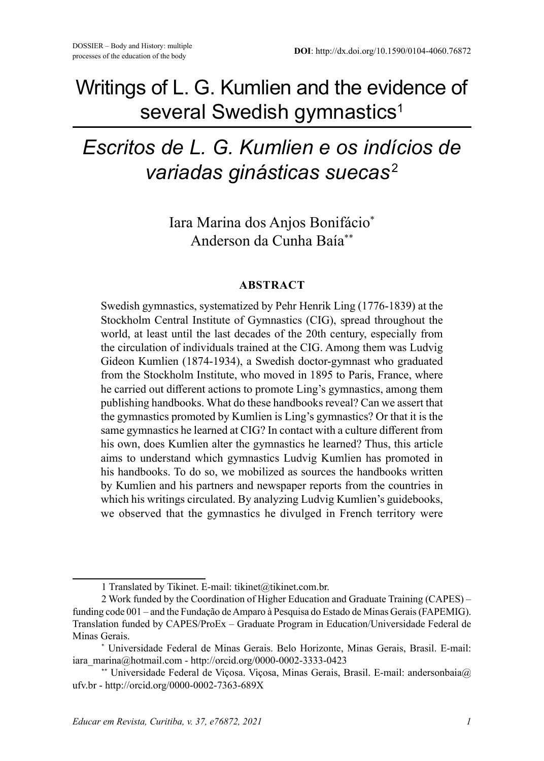## Writings of L. G. Kumlien and the evidence of several Swedish gymnastics<sup>1</sup>

# *Escritos de L. G. Kumlien e os indícios de variadas ginásticas suecas* <sup>2</sup>

Iara Marina dos Anjos Bonifácio\* Anderson da Cunha Baía\*\*

#### **ABSTRACT**

Swedish gymnastics, systematized by Pehr Henrik Ling (1776-1839) at the Stockholm Central Institute of Gymnastics (CIG), spread throughout the world, at least until the last decades of the 20th century, especially from the circulation of individuals trained at the CIG. Among them was Ludvig Gideon Kumlien (1874-1934), a Swedish doctor-gymnast who graduated from the Stockholm Institute, who moved in 1895 to Paris, France, where he carried out different actions to promote Ling's gymnastics, among them publishing handbooks. What do these handbooks reveal? Can we assert that the gymnastics promoted by Kumlien is Ling's gymnastics? Or that it is the same gymnastics he learned at CIG? In contact with a culture different from his own, does Kumlien alter the gymnastics he learned? Thus, this article aims to understand which gymnastics Ludvig Kumlien has promoted in his handbooks. To do so, we mobilized as sources the handbooks written by Kumlien and his partners and newspaper reports from the countries in which his writings circulated. By analyzing Ludvig Kumlien's guidebooks, we observed that the gymnastics he divulged in French territory were

<sup>1</sup> Translated by Tikinet. E-mail: tikinet@tikinet.com.br.

<sup>2</sup> Work funded by the Coordination of Higher Education and Graduate Training (CAPES) – funding code 001 – and the Fundação de Amparo à Pesquisa do Estado de Minas Gerais (FAPEMIG). Translation funded by CAPES/ProEx – Graduate Program in Education/Universidade Federal de Minas Gerais.

<sup>\*</sup> Universidade Federal de Minas Gerais. Belo Horizonte, Minas Gerais, Brasil. E-mail: iara\_marina@hotmail.com - http://orcid.org/0000-0002-3333-0423

<sup>\*\*</sup> Universidade Federal de Viçosa. Viçosa, Minas Gerais, Brasil. E-mail: andersonbaia@ ufv.br - http://orcid.org/0000-0002-7363-689X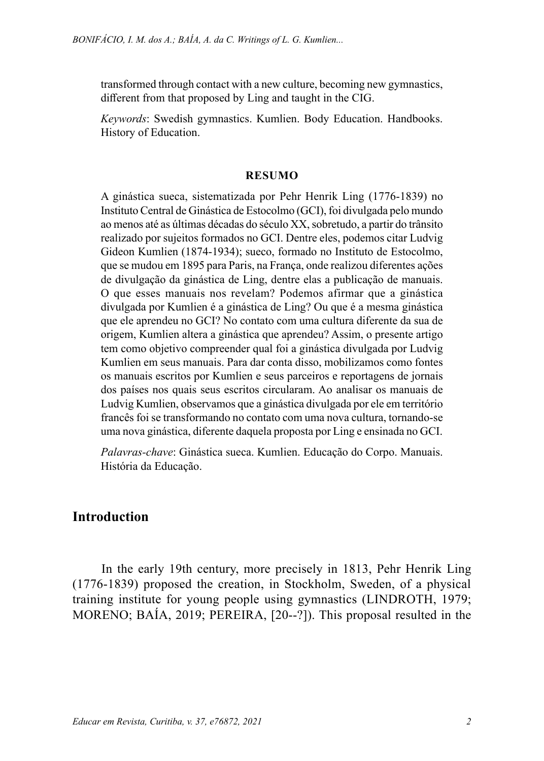transformed through contact with a new culture, becoming new gymnastics, different from that proposed by Ling and taught in the CIG.

*Keywords*: Swedish gymnastics. Kumlien. Body Education. Handbooks. History of Education.

#### **RESUMO**

A ginástica sueca, sistematizada por Pehr Henrik Ling (1776-1839) no Instituto Central de Ginástica de Estocolmo (GCI), foi divulgada pelo mundo ao menos até as últimas décadas do século XX, sobretudo, a partir do trânsito realizado por sujeitos formados no GCI. Dentre eles, podemos citar Ludvig Gideon Kumlien (1874-1934); sueco, formado no Instituto de Estocolmo, que se mudou em 1895 para Paris, na França, onde realizou diferentes ações de divulgação da ginástica de Ling, dentre elas a publicação de manuais. O que esses manuais nos revelam? Podemos afirmar que a ginástica divulgada por Kumlien é a ginástica de Ling? Ou que é a mesma ginástica que ele aprendeu no GCI? No contato com uma cultura diferente da sua de origem, Kumlien altera a ginástica que aprendeu? Assim, o presente artigo tem como objetivo compreender qual foi a ginástica divulgada por Ludvig Kumlien em seus manuais. Para dar conta disso, mobilizamos como fontes os manuais escritos por Kumlien e seus parceiros e reportagens de jornais dos países nos quais seus escritos circularam. Ao analisar os manuais de Ludvig Kumlien, observamos que a ginástica divulgada por ele em território francês foi se transformando no contato com uma nova cultura, tornando-se uma nova ginástica, diferente daquela proposta por Ling e ensinada no GCI.

*Palavras-chave*: Ginástica sueca. Kumlien. Educação do Corpo. Manuais. História da Educação.

#### **Introduction**

In the early 19th century, more precisely in 1813, Pehr Henrik Ling (1776-1839) proposed the creation, in Stockholm, Sweden, of a physical training institute for young people using gymnastics (LINDROTH, 1979; MORENO; BAÍA, 2019; PEREIRA, [20--?]). This proposal resulted in the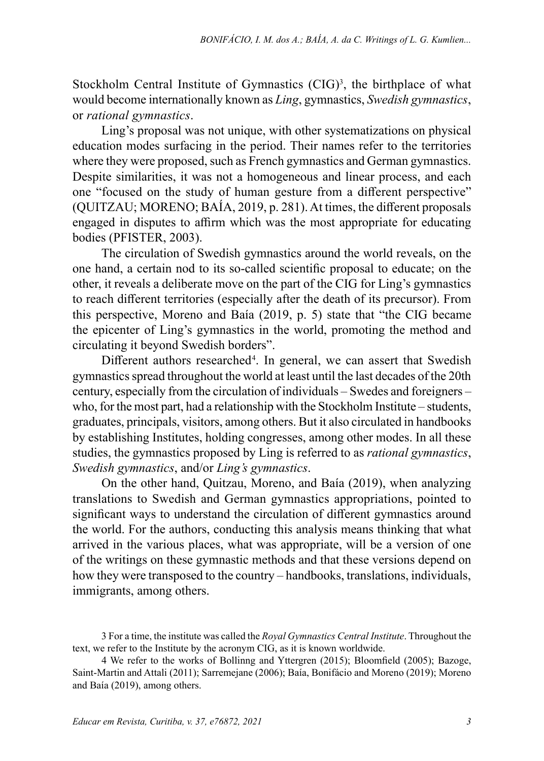Stockholm Central Institute of Gymnastics  $(CIG)^3$ , the birthplace of what would become internationally known as *Ling*, gymnastics, *Swedish gymnastics*, or *rational gymnastics*.

Ling's proposal was not unique, with other systematizations on physical education modes surfacing in the period. Their names refer to the territories where they were proposed, such as French gymnastics and German gymnastics. Despite similarities, it was not a homogeneous and linear process, and each one "focused on the study of human gesture from a different perspective" (QUITZAU; MORENO; BAÍA, 2019, p. 281). At times, the different proposals engaged in disputes to affirm which was the most appropriate for educating bodies (PFISTER, 2003).

The circulation of Swedish gymnastics around the world reveals, on the one hand, a certain nod to its so-called scientific proposal to educate; on the other, it reveals a deliberate move on the part of the CIG for Ling's gymnastics to reach different territories (especially after the death of its precursor). From this perspective, Moreno and Baía (2019, p. 5) state that "the CIG became the epicenter of Ling's gymnastics in the world, promoting the method and circulating it beyond Swedish borders".

Different authors researched<sup>4</sup>. In general, we can assert that Swedish gymnastics spread throughout the world at least until the last decades of the 20th century, especially from the circulation of individuals – Swedes and foreigners – who, for the most part, had a relationship with the Stockholm Institute – students, graduates, principals, visitors, among others. But it also circulated in handbooks by establishing Institutes, holding congresses, among other modes. In all these studies, the gymnastics proposed by Ling is referred to as *rational gymnastics*, *Swedish gymnastics*, and/or *Ling's gymnastics*.

On the other hand, Quitzau, Moreno, and Baía (2019), when analyzing translations to Swedish and German gymnastics appropriations, pointed to significant ways to understand the circulation of different gymnastics around the world. For the authors, conducting this analysis means thinking that what arrived in the various places, what was appropriate, will be a version of one of the writings on these gymnastic methods and that these versions depend on how they were transposed to the country – handbooks, translations, individuals, immigrants, among others.

<sup>3</sup> For a time, the institute was called the *Royal Gymnastics Central Institute*. Throughout the text, we refer to the Institute by the acronym CIG, as it is known worldwide.

<sup>4</sup> We refer to the works of Bollinng and Yttergren (2015); Bloomfield (2005); Bazoge, Saint-Martin and Attali (2011); Sarremejane (2006); Baía, Bonifácio and Moreno (2019); Moreno and Baía (2019), among others.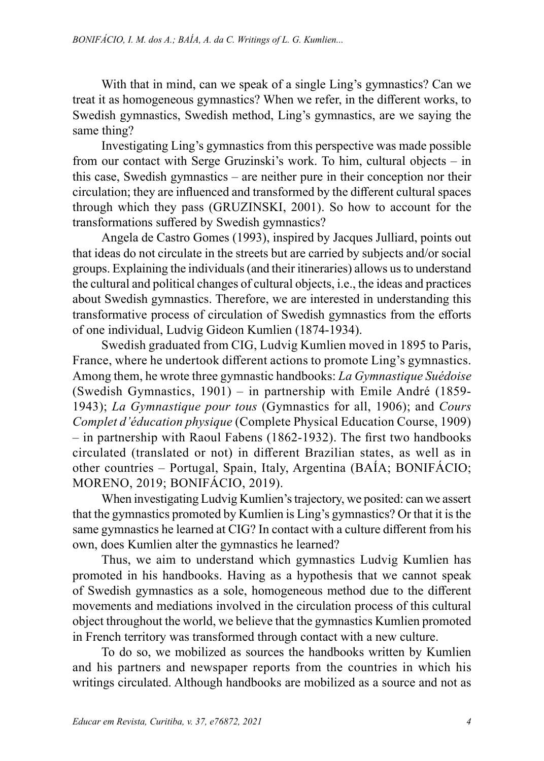With that in mind, can we speak of a single Ling's gymnastics? Can we treat it as homogeneous gymnastics? When we refer, in the different works, to Swedish gymnastics, Swedish method, Ling's gymnastics, are we saying the same thing?

Investigating Ling's gymnastics from this perspective was made possible from our contact with Serge Gruzinski's work. To him, cultural objects – in this case, Swedish gymnastics – are neither pure in their conception nor their circulation; they are influenced and transformed by the different cultural spaces through which they pass (GRUZINSKI, 2001). So how to account for the transformations suffered by Swedish gymnastics?

Angela de Castro Gomes (1993), inspired by Jacques Julliard, points out that ideas do not circulate in the streets but are carried by subjects and/or social groups. Explaining the individuals (and their itineraries) allows us to understand the cultural and political changes of cultural objects, i.e., the ideas and practices about Swedish gymnastics. Therefore, we are interested in understanding this transformative process of circulation of Swedish gymnastics from the efforts of one individual, Ludvig Gideon Kumlien (1874-1934).

Swedish graduated from CIG, Ludvig Kumlien moved in 1895 to Paris, France, where he undertook different actions to promote Ling's gymnastics. Among them, he wrote three gymnastic handbooks: *La Gymnastique Suédoise* (Swedish Gymnastics, 1901) – in partnership with Emile André (1859- 1943); *La Gymnastique pour tous* (Gymnastics for all, 1906); and *Cours Complet d'éducation physique* (Complete Physical Education Course, 1909) – in partnership with Raoul Fabens (1862-1932). The first two handbooks circulated (translated or not) in different Brazilian states, as well as in other countries – Portugal, Spain, Italy, Argentina (BAÍA; BONIFÁCIO; MORENO, 2019; BONIFÁCIO, 2019).

When investigating Ludvig Kumlien's trajectory, we posited: can we assert that the gymnastics promoted by Kumlien is Ling's gymnastics? Or that it is the same gymnastics he learned at CIG? In contact with a culture different from his own, does Kumlien alter the gymnastics he learned?

Thus, we aim to understand which gymnastics Ludvig Kumlien has promoted in his handbooks. Having as a hypothesis that we cannot speak of Swedish gymnastics as a sole, homogeneous method due to the different movements and mediations involved in the circulation process of this cultural object throughout the world, we believe that the gymnastics Kumlien promoted in French territory was transformed through contact with a new culture.

To do so, we mobilized as sources the handbooks written by Kumlien and his partners and newspaper reports from the countries in which his writings circulated. Although handbooks are mobilized as a source and not as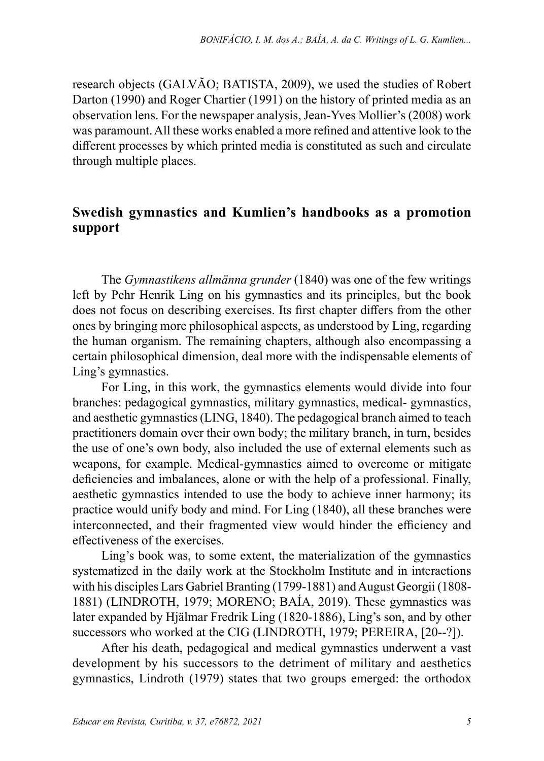research objects (GALVÃO; BATISTA, 2009), we used the studies of Robert Darton (1990) and Roger Chartier (1991) on the history of printed media as an observation lens. For the newspaper analysis, Jean-Yves Mollier's (2008) work was paramount. All these works enabled a more refined and attentive look to the different processes by which printed media is constituted as such and circulate through multiple places.

### **Swedish gymnastics and Kumlien's handbooks as a promotion support**

The *Gymnastikens allmänna grunder* (1840) was one of the few writings left by Pehr Henrik Ling on his gymnastics and its principles, but the book does not focus on describing exercises. Its first chapter differs from the other ones by bringing more philosophical aspects, as understood by Ling, regarding the human organism. The remaining chapters, although also encompassing a certain philosophical dimension, deal more with the indispensable elements of Ling's gymnastics.

For Ling, in this work, the gymnastics elements would divide into four branches: pedagogical gymnastics, military gymnastics, medical- gymnastics, and aesthetic gymnastics (LING, 1840). The pedagogical branch aimed to teach practitioners domain over their own body; the military branch, in turn, besides the use of one's own body, also included the use of external elements such as weapons, for example. Medical-gymnastics aimed to overcome or mitigate deficiencies and imbalances, alone or with the help of a professional. Finally, aesthetic gymnastics intended to use the body to achieve inner harmony; its practice would unify body and mind. For Ling (1840), all these branches were interconnected, and their fragmented view would hinder the efficiency and effectiveness of the exercises.

Ling's book was, to some extent, the materialization of the gymnastics systematized in the daily work at the Stockholm Institute and in interactions with his disciples Lars Gabriel Branting (1799-1881) and August Georgii (1808- 1881) (LINDROTH, 1979; MORENO; BAÍA, 2019). These gymnastics was later expanded by Hjälmar Fredrik Ling (1820-1886), Ling's son, and by other successors who worked at the CIG (LINDROTH, 1979; PEREIRA, [20--?]).

After his death, pedagogical and medical gymnastics underwent a vast development by his successors to the detriment of military and aesthetics gymnastics, Lindroth (1979) states that two groups emerged: the orthodox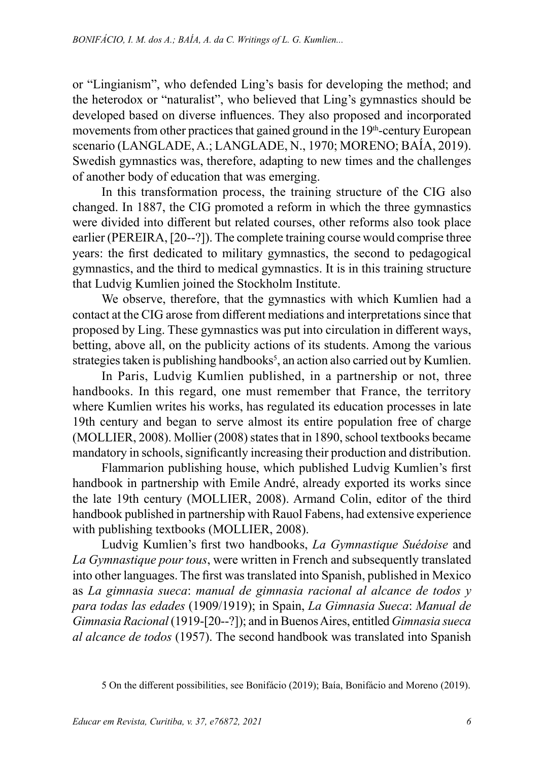or "Lingianism", who defended Ling's basis for developing the method; and the heterodox or "naturalist", who believed that Ling's gymnastics should be developed based on diverse influences. They also proposed and incorporated movements from other practices that gained ground in the  $19<sup>th</sup>$ -century European scenario (LANGLADE, A.; LANGLADE, N., 1970; MORENO; BAÍA, 2019). Swedish gymnastics was, therefore, adapting to new times and the challenges of another body of education that was emerging.

In this transformation process, the training structure of the CIG also changed. In 1887, the CIG promoted a reform in which the three gymnastics were divided into different but related courses, other reforms also took place earlier (PEREIRA, [20--?]). The complete training course would comprise three years: the first dedicated to military gymnastics, the second to pedagogical gymnastics, and the third to medical gymnastics. It is in this training structure that Ludvig Kumlien joined the Stockholm Institute.

We observe, therefore, that the gymnastics with which Kumlien had a contact at the CIG arose from different mediations and interpretations since that proposed by Ling. These gymnastics was put into circulation in different ways, betting, above all, on the publicity actions of its students. Among the various strategies taken is publishing handbooks<sup>5</sup>, an action also carried out by Kumlien.

In Paris, Ludvig Kumlien published, in a partnership or not, three handbooks. In this regard, one must remember that France, the territory where Kumlien writes his works, has regulated its education processes in late 19th century and began to serve almost its entire population free of charge (MOLLIER, 2008). Mollier (2008) states that in 1890, school textbooks became mandatory in schools, significantly increasing their production and distribution.

Flammarion publishing house, which published Ludvig Kumlien's first handbook in partnership with Emile André, already exported its works since the late 19th century (MOLLIER, 2008). Armand Colin, editor of the third handbook published in partnership with Rauol Fabens, had extensive experience with publishing textbooks (MOLLIER, 2008).

Ludvig Kumlien's first two handbooks, *La Gymnastique Suédoise* and *La Gymnastique pour tous*, were written in French and subsequently translated into other languages. The first was translated into Spanish, published in Mexico as *La gimnasia sueca*: *manual de gimnasia racional al alcance de todos y para todas las edades* (1909/1919); in Spain, *La Gimnasia Sueca*: *Manual de Gimnasia Racional* (1919-[20--?]); and in Buenos Aires, entitled *Gimnasia sueca al alcance de todos* (1957). The second handbook was translated into Spanish

<sup>5</sup> On the different possibilities, see Bonifácio (2019); Baía, Bonifácio and Moreno (2019).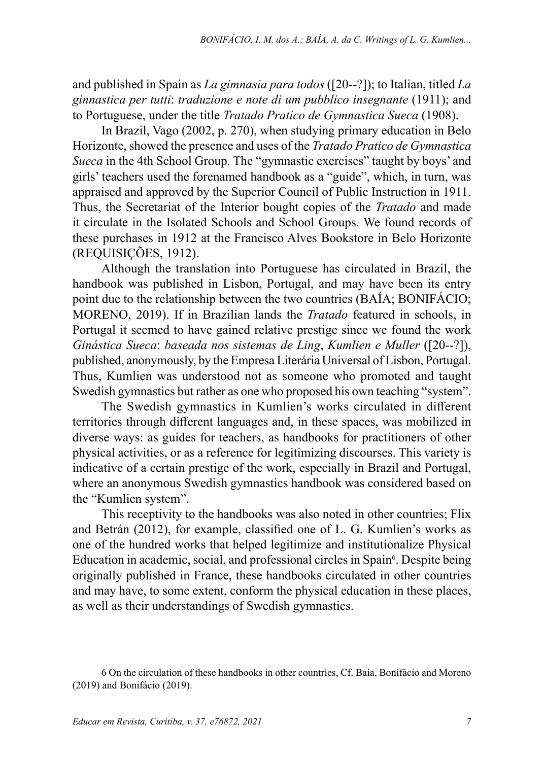and published in Spain as *La gimnasia para todos* ([20--?]); to Italian, titled *La ginnastica per tutti*: *traduzione e note di um pubblico insegnante* (1911); and to Portuguese, under the title *Tratado Pratico de Gymnastica Sueca* (1908).

In Brazil, Vago (2002, p. 270), when studying primary education in Belo Horizonte, showed the presence and uses of the *Tratado Pratico de Gymnastica Sueca* in the 4th School Group. The "gymnastic exercises" taught by boys' and girls' teachers used the forenamed handbook as a "guide", which, in turn, was appraised and approved by the Superior Council of Public Instruction in 1911. Thus, the Secretariat of the Interior bought copies of the *Tratado* and made it circulate in the Isolated Schools and School Groups. We found records of these purchases in 1912 at the Francisco Alves Bookstore in Belo Horizonte (REQUISIÇÕES, 1912).

Although the translation into Portuguese has circulated in Brazil, the handbook was published in Lisbon, Portugal, and may have been its entry point due to the relationship between the two countries (BAÍA; BONIFÁCIO; MORENO, 2019). If in Brazilian lands the *Tratado* featured in schools, in Portugal it seemed to have gained relative prestige since we found the work *Ginástica Sueca*: *baseada nos sistemas de Ling*, *Kumlien e Muller* ([20--?]), published, anonymously, by the Empresa Literária Universal of Lisbon, Portugal. Thus, Kumlien was understood not as someone who promoted and taught Swedish gymnastics but rather as one who proposed his own teaching "system".

The Swedish gymnastics in Kumlien's works circulated in different territories through different languages and, in these spaces, was mobilized in diverse ways: as guides for teachers, as handbooks for practitioners of other physical activities, or as a reference for legitimizing discourses. This variety is indicative of a certain prestige of the work, especially in Brazil and Portugal, where an anonymous Swedish gymnastics handbook was considered based on the "Kumlien system".

This receptivity to the handbooks was also noted in other countries; Flix and Betrán (2012), for example, classified one of L. G. Kumlien's works as one of the hundred works that helped legitimize and institutionalize Physical Education in academic, social, and professional circles in Spain<sup>6</sup>. Despite being originally published in France, these handbooks circulated in other countries and may have, to some extent, conform the physical education in these places, as well as their understandings of Swedish gymnastics.

<sup>6</sup> On the circulation of these handbooks in other countries, Cf. Baía, Bonifácio and Moreno (2019) and Bonifácio (2019).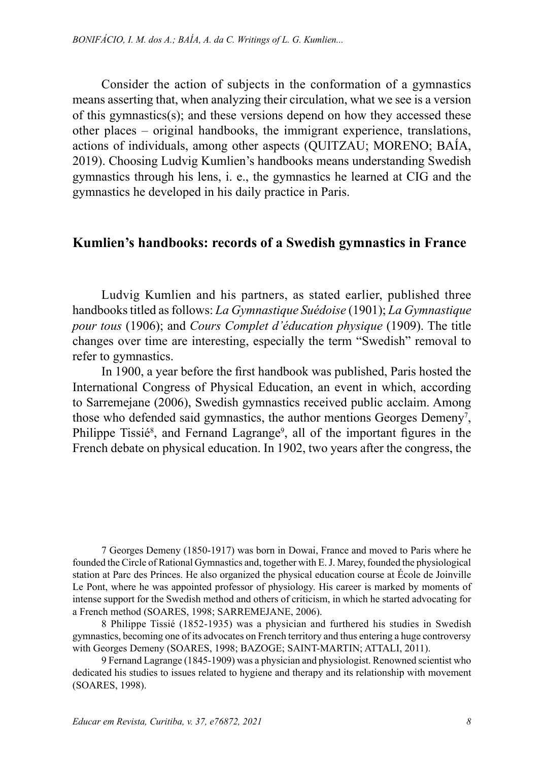Consider the action of subjects in the conformation of a gymnastics means asserting that, when analyzing their circulation, what we see is a version of this gymnastics(s); and these versions depend on how they accessed these other places – original handbooks, the immigrant experience, translations, actions of individuals, among other aspects (QUITZAU; MORENO; BAÍA, 2019). Choosing Ludvig Kumlien's handbooks means understanding Swedish gymnastics through his lens, i. e., the gymnastics he learned at CIG and the gymnastics he developed in his daily practice in Paris.

#### **Kumlien's handbooks: records of a Swedish gymnastics in France**

Ludvig Kumlien and his partners, as stated earlier, published three handbooks titled as follows: *La Gymnastique Suédoise* (1901); *La Gymnastique pour tous* (1906); and *Cours Complet d'éducation physique* (1909). The title changes over time are interesting, especially the term "Swedish" removal to refer to gymnastics.

In 1900, a year before the first handbook was published, Paris hosted the International Congress of Physical Education, an event in which, according to Sarremejane (2006), Swedish gymnastics received public acclaim. Among those who defended said gymnastics, the author mentions Georges Demeny<sup>7</sup>, Philippe Tissié<sup>8</sup>, and Fernand Lagrange<sup>9</sup>, all of the important figures in the French debate on physical education. In 1902, two years after the congress, the

7 Georges Demeny (1850-1917) was born in Dowai, France and moved to Paris where he founded the Circle of Rational Gymnastics and, together with E. J. Marey, founded the physiological station at Parc des Princes. He also organized the physical education course at École de Joinville Le Pont, where he was appointed professor of physiology. His career is marked by moments of intense support for the Swedish method and others of criticism, in which he started advocating for a French method (SOARES, 1998; SARREMEJANE, 2006).

8 Philippe Tissié (1852-1935) was a physician and furthered his studies in Swedish gymnastics, becoming one of its advocates on French territory and thus entering a huge controversy with Georges Demeny (SOARES, 1998; BAZOGE; SAINT-MARTIN; ATTALI, 2011).

9 Fernand Lagrange (1845-1909) was a physician and physiologist. Renowned scientist who dedicated his studies to issues related to hygiene and therapy and its relationship with movement (SOARES, 1998).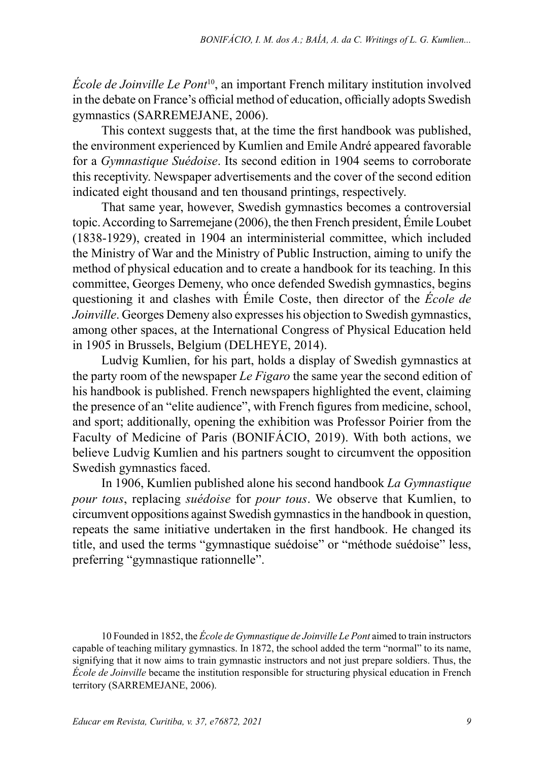*École de Joinville Le Pont*10, an important French military institution involved in the debate on France's official method of education, officially adopts Swedish gymnastics (SARREMEJANE, 2006).

This context suggests that, at the time the first handbook was published, the environment experienced by Kumlien and Emile André appeared favorable for a *Gymnastique Suédoise*. Its second edition in 1904 seems to corroborate this receptivity. Newspaper advertisements and the cover of the second edition indicated eight thousand and ten thousand printings, respectively.

That same year, however, Swedish gymnastics becomes a controversial topic. According to Sarremejane (2006), the then French president, Émile Loubet (1838-1929), created in 1904 an interministerial committee, which included the Ministry of War and the Ministry of Public Instruction, aiming to unify the method of physical education and to create a handbook for its teaching. In this committee, Georges Demeny, who once defended Swedish gymnastics, begins questioning it and clashes with Émile Coste, then director of the *École de Joinville*. Georges Demeny also expresses his objection to Swedish gymnastics, among other spaces, at the International Congress of Physical Education held in 1905 in Brussels, Belgium (DELHEYE, 2014).

Ludvig Kumlien, for his part, holds a display of Swedish gymnastics at the party room of the newspaper *Le Figaro* the same year the second edition of his handbook is published. French newspapers highlighted the event, claiming the presence of an "elite audience", with French figures from medicine, school, and sport; additionally, opening the exhibition was Professor Poirier from the Faculty of Medicine of Paris (BONIFÁCIO, 2019). With both actions, we believe Ludvig Kumlien and his partners sought to circumvent the opposition Swedish gymnastics faced.

In 1906, Kumlien published alone his second handbook *La Gymnastique pour tous*, replacing *suédoise* for *pour tous*. We observe that Kumlien, to circumvent oppositions against Swedish gymnastics in the handbook in question, repeats the same initiative undertaken in the first handbook. He changed its title, and used the terms "gymnastique suédoise" or "méthode suédoise" less, preferring "gymnastique rationnelle".

<sup>10</sup> Founded in 1852, the *École de Gymnastique de Joinville Le Pont* aimed to train instructors capable of teaching military gymnastics. In 1872, the school added the term "normal" to its name, signifying that it now aims to train gymnastic instructors and not just prepare soldiers. Thus, the *École de Joinville* became the institution responsible for structuring physical education in French territory (SARREMEJANE, 2006).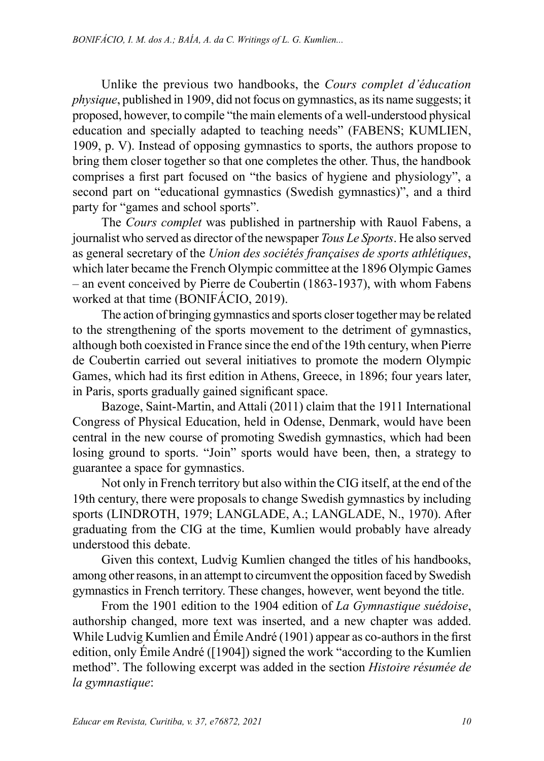Unlike the previous two handbooks, the *Cours complet d'éducation physique*, published in 1909, did not focus on gymnastics, as its name suggests; it proposed, however, to compile "the main elements of a well-understood physical education and specially adapted to teaching needs" (FABENS; KUMLIEN, 1909, p. V). Instead of opposing gymnastics to sports, the authors propose to bring them closer together so that one completes the other. Thus, the handbook comprises a first part focused on "the basics of hygiene and physiology", a second part on "educational gymnastics (Swedish gymnastics)", and a third party for "games and school sports".

The *Cours complet* was published in partnership with Rauol Fabens, a journalist who served as director of the newspaper *Tous Le Sports*. He also served as general secretary of the *Union des sociétés françaises de sports athlétiques*, which later became the French Olympic committee at the 1896 Olympic Games – an event conceived by Pierre de Coubertin (1863-1937), with whom Fabens worked at that time (BONIFÁCIO, 2019).

The action of bringing gymnastics and sports closer together may be related to the strengthening of the sports movement to the detriment of gymnastics, although both coexisted in France since the end of the 19th century, when Pierre de Coubertin carried out several initiatives to promote the modern Olympic Games, which had its first edition in Athens, Greece, in 1896; four years later, in Paris, sports gradually gained significant space.

Bazoge, Saint-Martin, and Attali (2011) claim that the 1911 International Congress of Physical Education, held in Odense, Denmark, would have been central in the new course of promoting Swedish gymnastics, which had been losing ground to sports. "Join" sports would have been, then, a strategy to guarantee a space for gymnastics.

Not only in French territory but also within the CIG itself, at the end of the 19th century, there were proposals to change Swedish gymnastics by including sports (LINDROTH, 1979; LANGLADE, A.; LANGLADE, N., 1970). After graduating from the CIG at the time, Kumlien would probably have already understood this debate.

Given this context, Ludvig Kumlien changed the titles of his handbooks, among other reasons, in an attempt to circumvent the opposition faced by Swedish gymnastics in French territory. These changes, however, went beyond the title.

From the 1901 edition to the 1904 edition of *La Gymnastique suédoise*, authorship changed, more text was inserted, and a new chapter was added. While Ludvig Kumlien and Émile André (1901) appear as co-authors in the first edition, only Émile André ([1904]) signed the work "according to the Kumlien method". The following excerpt was added in the section *Histoire résumée de la gymnastique*: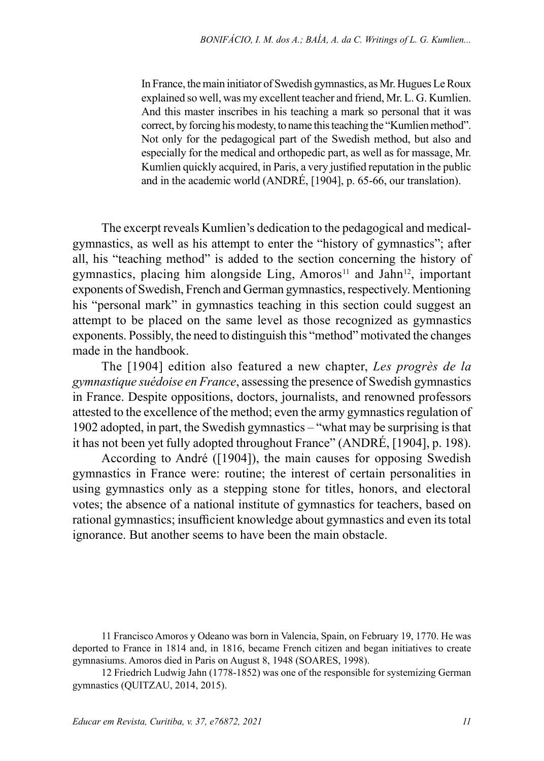In France, the main initiator of Swedish gymnastics, as Mr. Hugues Le Roux explained so well, was my excellent teacher and friend, Mr. L. G. Kumlien. And this master inscribes in his teaching a mark so personal that it was correct, by forcing his modesty, to name this teaching the "Kumlien method". Not only for the pedagogical part of the Swedish method, but also and especially for the medical and orthopedic part, as well as for massage, Mr. Kumlien quickly acquired, in Paris, a very justified reputation in the public and in the academic world (ANDRÉ, [1904], p. 65-66, our translation).

The excerpt reveals Kumlien's dedication to the pedagogical and medicalgymnastics, as well as his attempt to enter the "history of gymnastics"; after all, his "teaching method" is added to the section concerning the history of gymnastics, placing him alongside Ling, Amoros<sup>11</sup> and Jahn<sup>12</sup>, important exponents of Swedish, French and German gymnastics, respectively. Mentioning his "personal mark" in gymnastics teaching in this section could suggest an attempt to be placed on the same level as those recognized as gymnastics exponents. Possibly, the need to distinguish this "method" motivated the changes made in the handbook.

The [1904] edition also featured a new chapter, *Les progrès de la gymnastique suédoise en France*, assessing the presence of Swedish gymnastics in France. Despite oppositions, doctors, journalists, and renowned professors attested to the excellence of the method; even the army gymnastics regulation of 1902 adopted, in part, the Swedish gymnastics – "what may be surprising is that it has not been yet fully adopted throughout France" (ANDRÉ, [1904], p. 198).

According to André ([1904]), the main causes for opposing Swedish gymnastics in France were: routine; the interest of certain personalities in using gymnastics only as a stepping stone for titles, honors, and electoral votes; the absence of a national institute of gymnastics for teachers, based on rational gymnastics; insufficient knowledge about gymnastics and even its total ignorance. But another seems to have been the main obstacle.

<sup>11</sup> Francisco Amoros y Odeano was born in Valencia, Spain, on February 19, 1770. He was deported to France in 1814 and, in 1816, became French citizen and began initiatives to create gymnasiums. Amoros died in Paris on August 8, 1948 (SOARES, 1998).

<sup>12</sup> Friedrich Ludwig Jahn (1778-1852) was one of the responsible for systemizing German gymnastics (QUITZAU, 2014, 2015).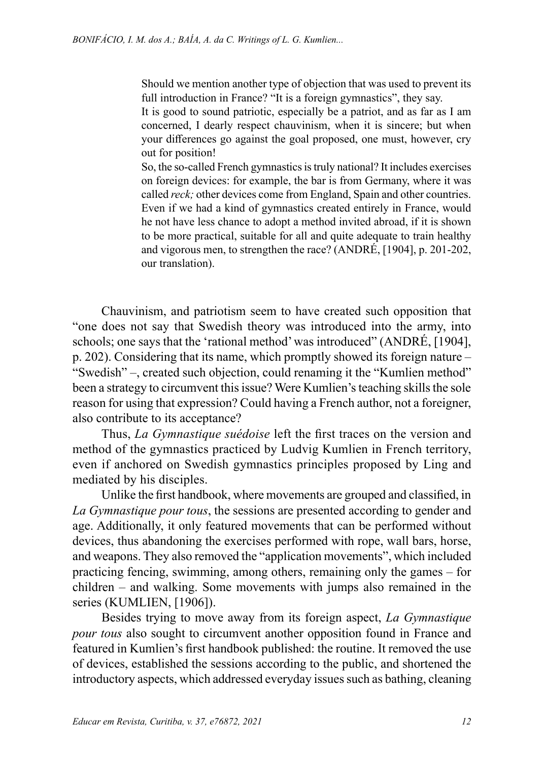Should we mention another type of objection that was used to prevent its full introduction in France? "It is a foreign gymnastics", they say.

It is good to sound patriotic, especially be a patriot, and as far as I am concerned, I dearly respect chauvinism, when it is sincere; but when your differences go against the goal proposed, one must, however, cry out for position!

So, the so-called French gymnastics is truly national? It includes exercises on foreign devices: for example, the bar is from Germany, where it was called *reck;* other devices come from England, Spain and other countries. Even if we had a kind of gymnastics created entirely in France, would he not have less chance to adopt a method invited abroad, if it is shown to be more practical, suitable for all and quite adequate to train healthy and vigorous men, to strengthen the race? (ANDRÉ, [1904], p. 201-202, our translation).

Chauvinism, and patriotism seem to have created such opposition that "one does not say that Swedish theory was introduced into the army, into schools; one says that the 'rational method' was introduced" (ANDRÉ, [1904], p. 202). Considering that its name, which promptly showed its foreign nature – "Swedish" –, created such objection, could renaming it the "Kumlien method" been a strategy to circumvent this issue? Were Kumlien's teaching skills the sole reason for using that expression? Could having a French author, not a foreigner, also contribute to its acceptance?

Thus, *La Gymnastique suédoise* left the first traces on the version and method of the gymnastics practiced by Ludvig Kumlien in French territory, even if anchored on Swedish gymnastics principles proposed by Ling and mediated by his disciples.

Unlike the first handbook, where movements are grouped and classified, in *La Gymnastique pour tous*, the sessions are presented according to gender and age. Additionally, it only featured movements that can be performed without devices, thus abandoning the exercises performed with rope, wall bars, horse, and weapons. They also removed the "application movements", which included practicing fencing, swimming, among others, remaining only the games – for children – and walking. Some movements with jumps also remained in the series (KUMLIEN, [1906]).

Besides trying to move away from its foreign aspect, *La Gymnastique pour tous* also sought to circumvent another opposition found in France and featured in Kumlien's first handbook published: the routine. It removed the use of devices, established the sessions according to the public, and shortened the introductory aspects, which addressed everyday issues such as bathing, cleaning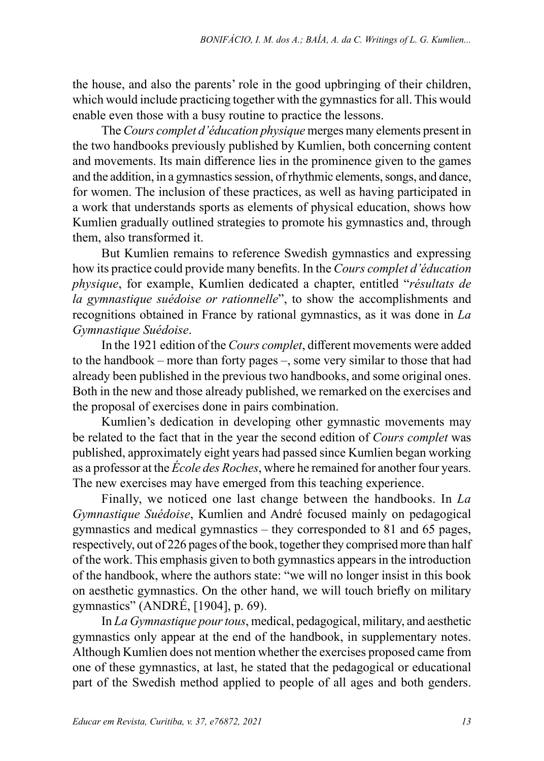the house, and also the parents' role in the good upbringing of their children, which would include practicing together with the gymnastics for all. This would enable even those with a busy routine to practice the lessons.

The *Cours complet d'éducation physique* merges many elements present in the two handbooks previously published by Kumlien, both concerning content and movements. Its main difference lies in the prominence given to the games and the addition, in a gymnastics session, of rhythmic elements, songs, and dance, for women. The inclusion of these practices, as well as having participated in a work that understands sports as elements of physical education, shows how Kumlien gradually outlined strategies to promote his gymnastics and, through them, also transformed it.

But Kumlien remains to reference Swedish gymnastics and expressing how its practice could provide many benefits. In the *Cours complet d'éducation physique*, for example, Kumlien dedicated a chapter, entitled "*résultats de la gymnastique suédoise or rationnelle*", to show the accomplishments and recognitions obtained in France by rational gymnastics, as it was done in *La Gymnastique Suédoise*.

In the 1921 edition of the *Cours complet*, different movements were added to the handbook – more than forty pages –, some very similar to those that had already been published in the previous two handbooks, and some original ones. Both in the new and those already published, we remarked on the exercises and the proposal of exercises done in pairs combination.

Kumlien's dedication in developing other gymnastic movements may be related to the fact that in the year the second edition of *Cours complet* was published, approximately eight years had passed since Kumlien began working as a professor at the *École des Roches*, where he remained for another four years. The new exercises may have emerged from this teaching experience.

Finally, we noticed one last change between the handbooks. In *La Gymnastique Suédoise*, Kumlien and André focused mainly on pedagogical gymnastics and medical gymnastics – they corresponded to 81 and 65 pages, respectively, out of 226 pages of the book, together they comprised more than half of the work. This emphasis given to both gymnastics appears in the introduction of the handbook, where the authors state: "we will no longer insist in this book on aesthetic gymnastics. On the other hand, we will touch briefly on military gymnastics" (ANDRÉ, [1904], p. 69).

In *La Gymnastique pour tous*, medical, pedagogical, military, and aesthetic gymnastics only appear at the end of the handbook, in supplementary notes. Although Kumlien does not mention whether the exercises proposed came from one of these gymnastics, at last, he stated that the pedagogical or educational part of the Swedish method applied to people of all ages and both genders.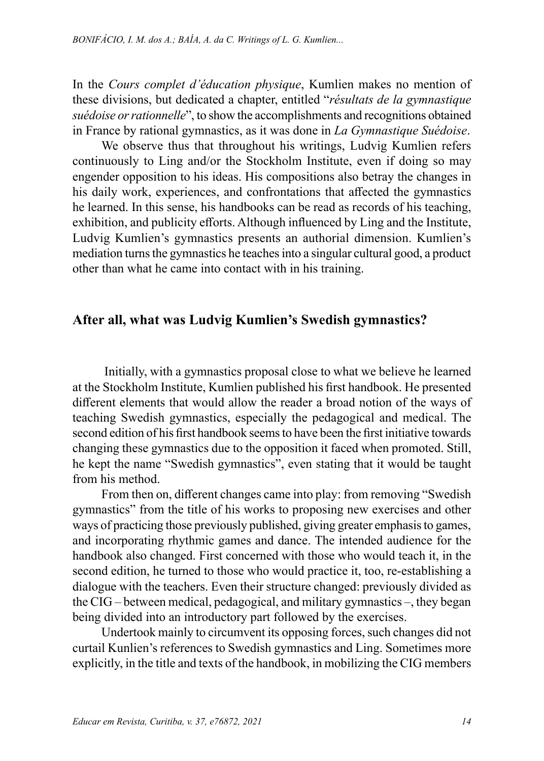In the *Cours complet d'éducation physique*, Kumlien makes no mention of these divisions, but dedicated a chapter, entitled "*résultats de la gymnastique suédoise or rationnelle*", to show the accomplishments and recognitions obtained in France by rational gymnastics, as it was done in *La Gymnastique Suédoise*.

We observe thus that throughout his writings, Ludvig Kumlien refers continuously to Ling and/or the Stockholm Institute, even if doing so may engender opposition to his ideas. His compositions also betray the changes in his daily work, experiences, and confrontations that affected the gymnastics he learned. In this sense, his handbooks can be read as records of his teaching, exhibition, and publicity efforts. Although influenced by Ling and the Institute, Ludvig Kumlien's gymnastics presents an authorial dimension. Kumlien's mediation turns the gymnastics he teaches into a singular cultural good, a product other than what he came into contact with in his training.

### **After all, what was Ludvig Kumlien's Swedish gymnastics?**

 Initially, with a gymnastics proposal close to what we believe he learned at the Stockholm Institute, Kumlien published his first handbook. He presented different elements that would allow the reader a broad notion of the ways of teaching Swedish gymnastics, especially the pedagogical and medical. The second edition of his first handbook seems to have been the first initiative towards changing these gymnastics due to the opposition it faced when promoted. Still, he kept the name "Swedish gymnastics", even stating that it would be taught from his method.

From then on, different changes came into play: from removing "Swedish gymnastics" from the title of his works to proposing new exercises and other ways of practicing those previously published, giving greater emphasis to games, and incorporating rhythmic games and dance. The intended audience for the handbook also changed. First concerned with those who would teach it, in the second edition, he turned to those who would practice it, too, re-establishing a dialogue with the teachers. Even their structure changed: previously divided as the CIG – between medical, pedagogical, and military gymnastics –, they began being divided into an introductory part followed by the exercises.

Undertook mainly to circumvent its opposing forces, such changes did not curtail Kunlien's references to Swedish gymnastics and Ling. Sometimes more explicitly, in the title and texts of the handbook, in mobilizing the CIG members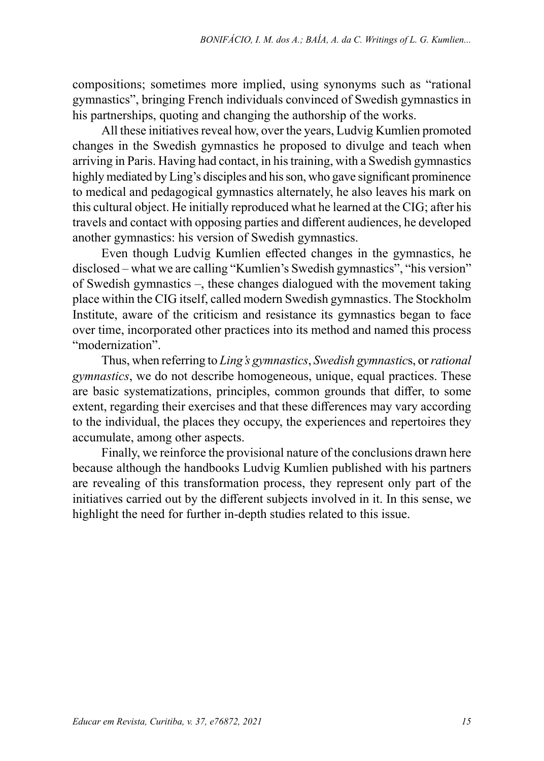compositions; sometimes more implied, using synonyms such as "rational gymnastics", bringing French individuals convinced of Swedish gymnastics in his partnerships, quoting and changing the authorship of the works.

All these initiatives reveal how, over the years, Ludvig Kumlien promoted changes in the Swedish gymnastics he proposed to divulge and teach when arriving in Paris. Having had contact, in his training, with a Swedish gymnastics highly mediated by Ling's disciples and his son, who gave significant prominence to medical and pedagogical gymnastics alternately, he also leaves his mark on this cultural object. He initially reproduced what he learned at the CIG; after his travels and contact with opposing parties and different audiences, he developed another gymnastics: his version of Swedish gymnastics.

Even though Ludvig Kumlien effected changes in the gymnastics, he disclosed – what we are calling "Kumlien's Swedish gymnastics", "his version" of Swedish gymnastics –, these changes dialogued with the movement taking place within the CIG itself, called modern Swedish gymnastics. The Stockholm Institute, aware of the criticism and resistance its gymnastics began to face over time, incorporated other practices into its method and named this process "modernization".

Thus, when referring to *Ling's gymnastics*, *Swedish gymnastic*s, or *rational gymnastics*, we do not describe homogeneous, unique, equal practices. These are basic systematizations, principles, common grounds that differ, to some extent, regarding their exercises and that these differences may vary according to the individual, the places they occupy, the experiences and repertoires they accumulate, among other aspects.

Finally, we reinforce the provisional nature of the conclusions drawn here because although the handbooks Ludvig Kumlien published with his partners are revealing of this transformation process, they represent only part of the initiatives carried out by the different subjects involved in it. In this sense, we highlight the need for further in-depth studies related to this issue.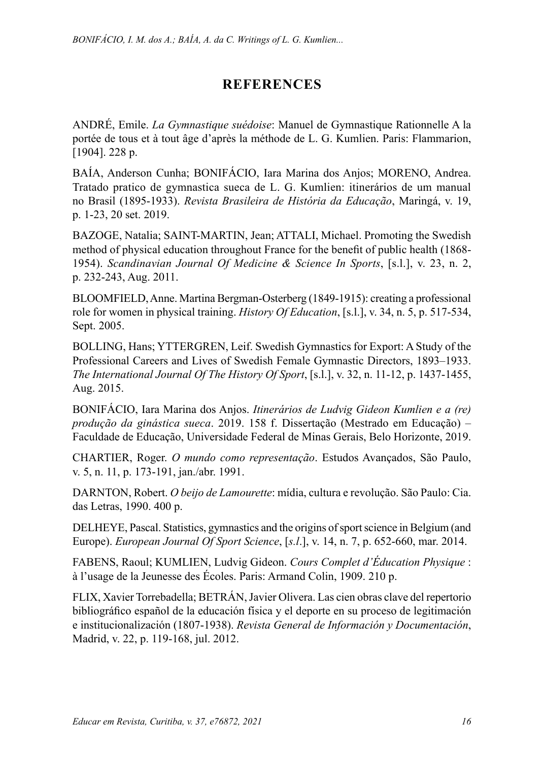## **REFERENCES**

ANDRÉ, Emile. *La Gymnastique suédoise*: Manuel de Gymnastique Rationnelle A la portée de tous et à tout âge d'après la méthode de L. G. Kumlien. Paris: Flammarion, [1904]. 228 p.

BAÍA, Anderson Cunha; BONIFÁCIO, Iara Marina dos Anjos; MORENO, Andrea. Tratado pratico de gymnastica sueca de L. G. Kumlien: itinerários de um manual no Brasil (1895-1933). *Revista Brasileira de História da Educação*, Maringá, v. 19, p. 1-23, 20 set. 2019.

BAZOGE, Natalia; SAINT-MARTIN, Jean; ATTALI, Michael. Promoting the Swedish method of physical education throughout France for the benefit of public health (1868- 1954). *Scandinavian Journal Of Medicine & Science In Sports*, [s.l.], v. 23, n. 2, p. 232-243, Aug. 2011.

BLOOMFIELD, Anne. Martina Bergman‐Osterberg (1849-1915): creating a professional role for women in physical training. *History Of Education*, [s.l.], v. 34, n. 5, p. 517-534, Sept. 2005.

BOLLING, Hans; YTTERGREN, Leif. Swedish Gymnastics for Export: A Study of the Professional Careers and Lives of Swedish Female Gymnastic Directors, 1893–1933. *The International Journal Of The History Of Sport*, [s.l.], v. 32, n. 11-12, p. 1437-1455, Aug. 2015.

BONIFÁCIO, Iara Marina dos Anjos. *Itinerários de Ludvig Gideon Kumlien e a (re) produção da ginástica sueca*. 2019. 158 f. Dissertação (Mestrado em Educação) – Faculdade de Educação, Universidade Federal de Minas Gerais, Belo Horizonte, 2019.

CHARTIER, Roger. *O mundo como representação*. Estudos Avançados, São Paulo, v. 5, n. 11, p. 173-191, jan./abr. 1991.

DARNTON, Robert. *O beijo de Lamourette*: mídia, cultura e revolução. São Paulo: Cia. das Letras, 1990. 400 p.

DELHEYE, Pascal. Statistics, gymnastics and the origins of sport science in Belgium (and Europe). *European Journal Of Sport Science*, [*s.l*.], v. 14, n. 7, p. 652-660, mar. 2014.

FABENS, Raoul; KUMLIEN, Ludvig Gideon. *Cours Complet d'Éducation Physique* : à l'usage de la Jeunesse des Écoles. Paris: Armand Colin, 1909. 210 p.

FLIX, Xavier Torrebadella; BETRÁN, Javier Olivera. Las cien obras clave del repertorio bibliográfico español de la educación física y el deporte en su proceso de legitimación e institucionalización (1807-1938). *Revista General de Información y Documentación*, Madrid, v. 22, p. 119-168, jul. 2012.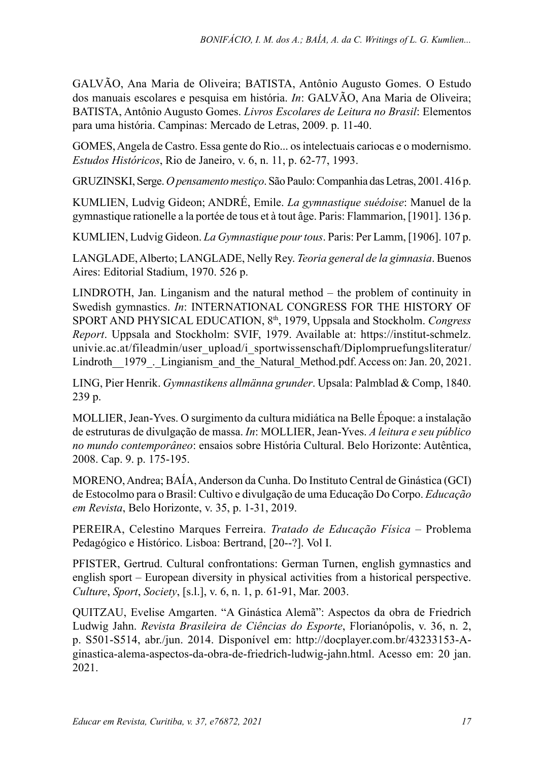GALVÃO, Ana Maria de Oliveira; BATISTA, Antônio Augusto Gomes. O Estudo dos manuais escolares e pesquisa em história. *In*: GALVÃO, Ana Maria de Oliveira; BATISTA, Antônio Augusto Gomes. *Livros Escolares de Leitura no Brasil*: Elementos para uma história. Campinas: Mercado de Letras, 2009. p. 11-40.

GOMES, Angela de Castro. Essa gente do Rio... os intelectuais cariocas e o modernismo. *Estudos Históricos*, Rio de Janeiro, v. 6, n. 11, p. 62-77, 1993.

GRUZINSKI, Serge. *O pensamento mestiço*. São Paulo: Companhia das Letras, 2001. 416 p.

KUMLIEN, Ludvig Gideon; ANDRÉ, Emile. *La gymnastique suédoise*: Manuel de la gymnastique rationelle a la portée de tous et à tout âge. Paris: Flammarion, [1901]. 136 p.

KUMLIEN, Ludvig Gideon. *La Gymnastique pour tous*. Paris: Per Lamm, [1906]. 107 p.

LANGLADE, Alberto; LANGLADE, Nelly Rey. *Teoria general de la gimnasia*. Buenos Aires: Editorial Stadium, 1970. 526 p.

LINDROTH, Jan. Linganism and the natural method – the problem of continuity in Swedish gymnastics. *In*: INTERNATIONAL CONGRESS FOR THE HISTORY OF SPORT AND PHYSICAL EDUCATION, 8th, 1979, Uppsala and Stockholm. *Congress Report*. Uppsala and Stockholm: SVIF, 1979. Available at: [https://institut-schmelz.](https://institut-schmelz.univie.ac.at/fileadmin/user_upload/i_sportwissenschaft/Diplompruefungsliteratur/Lindroth__1979_._Lingianism_and_the_Natural_Method.pdf) [univie.ac.at/fileadmin/user\\_upload/i\\_sportwissenschaft/Diplompruefungsliteratur/](https://institut-schmelz.univie.ac.at/fileadmin/user_upload/i_sportwissenschaft/Diplompruefungsliteratur/Lindroth__1979_._Lingianism_and_the_Natural_Method.pdf) Lindroth 1979. Lingianism and the Natural Method.pdf. Access on: Jan. 20, 2021.

LING, Pier Henrik. *Gymnastikens allmänna grunder*. Upsala: Palmblad & Comp, 1840. 239 p.

MOLLIER, Jean-Yves. O surgimento da cultura midiática na Belle Époque: a instalação de estruturas de divulgação de massa. *In*: MOLLIER, Jean-Yves. *A leitura e seu público no mundo contemporâneo*: ensaios sobre História Cultural. Belo Horizonte: Autêntica, 2008. Cap. 9. p. 175-195.

MORENO, Andrea; BAÍA, Anderson da Cunha. Do Instituto Central de Ginástica (GCI) de Estocolmo para o Brasil: Cultivo e divulgação de uma Educação Do Corpo. *Educação em Revista*, Belo Horizonte, v. 35, p. 1-31, 2019.

PEREIRA, Celestino Marques Ferreira. *Tratado de Educação Física* – Problema Pedagógico e Histórico. Lisboa: Bertrand, [20--?]. Vol I.

PFISTER, Gertrud. Cultural confrontations: German Turnen, english gymnastics and english sport – European diversity in physical activities from a historical perspective. *Culture*, *Sport*, *Society*, [s.l.], v. 6, n. 1, p. 61-91, Mar. 2003.

QUITZAU, Evelise Amgarten. "A Ginástica Alemã": Aspectos da obra de Friedrich Ludwig Jahn. *Revista Brasileira de Ciências do Esporte*, Florianópolis, v. 36, n. 2, p. S501-S514, abr./jun. 2014. Disponível em: [http://docplayer.com.br/43233153-A](http://docplayer.com.br/43233153-A-ginastica-alema-aspectos-da-obra-de-friedrich-ludwig-jahn.html)[ginastica-alema-aspectos-da-obra-de-friedrich-ludwig-jahn.html.](http://docplayer.com.br/43233153-A-ginastica-alema-aspectos-da-obra-de-friedrich-ludwig-jahn.html) Acesso em: 20 jan. 2021.